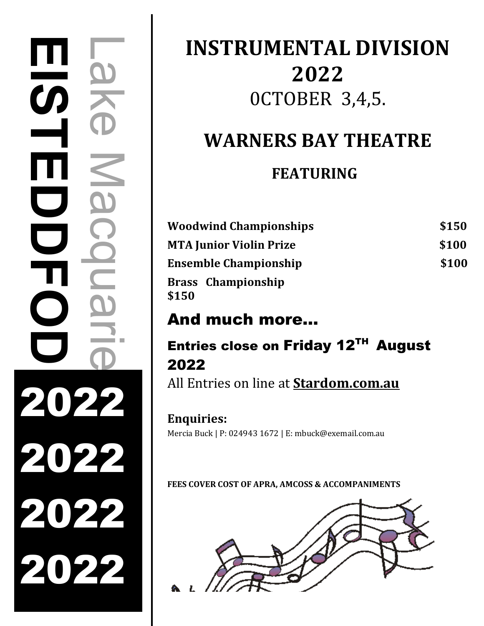# Lake Macquarie **CISTEDDEOD**  $\blacksquare$  $\overline{\mathbf{G}}$ 2022 2022 2022 2022

# **INSTRUMENTAL DIVISION 2022** 0CTOBER 3,4,5.

# **WARNERS BAY THEATRE**

# **FEATURING**

| <b>Woodwind Championships</b>      | \$150 |
|------------------------------------|-------|
| <b>MTA Junior Violin Prize</b>     | \$100 |
| <b>Ensemble Championship</b>       | \$100 |
| <b>Brass Championship</b><br>\$150 |       |

# And much more…

# Entries close on Friday 12TH August 2022

All Entries on line at **Stardom.com.au**

# **Enquiries:**

Mercia Buck | P: 024943 1672 | E: mbuck@exemail.com.au

**FEES COVER COST OF APRA, AMCOSS & ACCOMPANIMENTS**

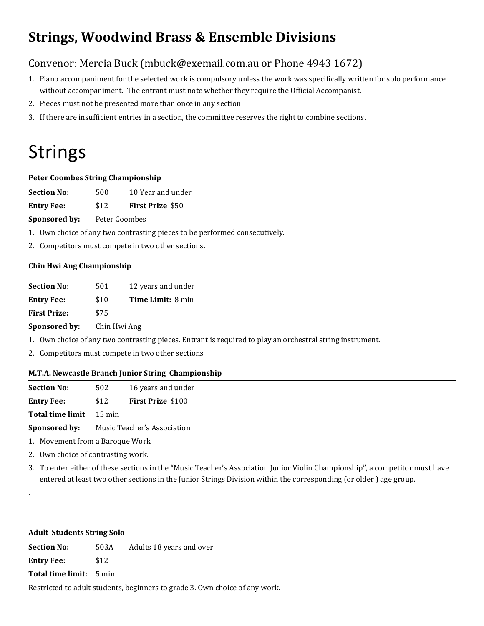# **Strings, Woodwind Brass & Ensemble Divisions**

## Convenor: Mercia Buck (mbuck@exemail.com.au or Phone 4943 1672)

- 1. Piano accompaniment for the selected work is compulsory unless the work was specifically written for solo performance without accompaniment. The entrant must note whether they require the Official Accompanist.
- 2. Pieces must not be presented more than once in any section.
- 3. If there are insufficient entries in a section, the committee reserves the right to combine sections.

# Strings

#### **Peter Coombes String Championship**

|  | <b>Section No:</b> | 500 | 10 Year and under |
|--|--------------------|-----|-------------------|
|--|--------------------|-----|-------------------|

| <b>Entry Fee:</b> | \$12 | <b>First Prize \$50</b> |  |
|-------------------|------|-------------------------|--|
|                   |      |                         |  |

**Sponsored by:** Peter Coombes

1. Own choice of any two contrasting pieces to be performed consecutively.

2. Competitors must compete in two other sections.

#### **Chin Hwi Ang Championship**

| 501          | 12 years and under       |
|--------------|--------------------------|
| \$10         | <b>Time Limit: 8 min</b> |
| \$75         |                          |
| Chin Hwi Ang |                          |
|              |                          |

1. Own choice of any two contrasting pieces. Entrant is required to play an orchestral string instrument.

2. Competitors must compete in two other sections

#### **M.T.A. Newcastle Branch Junior String Championship**

| <b>Section No:</b>      | 502                         | 16 years and under       |
|-------------------------|-----------------------------|--------------------------|
| <b>Entry Fee:</b>       | \$12                        | <b>First Prize \$100</b> |
| <b>Total time limit</b> | 15 min                      |                          |
| Sponsored by:           | Music Teacher's Association |                          |

1. Movement from a Baroque Work.

- 2. Own choice of contrasting work.
- 3. To enter either of these sections in the "Music Teacher's Association Junior Violin Championship", a competitor must have entered at least two other sections in the Junior Strings Division within the corresponding (or older ) age group.

#### **Adult Students String Solo**

.

**Section No:** 503A Adults 18 years and over **Entry Fee:** \$12

**Total time limit:** 5 min

Restricted to adult students, beginners to grade 3. Own choice of any work.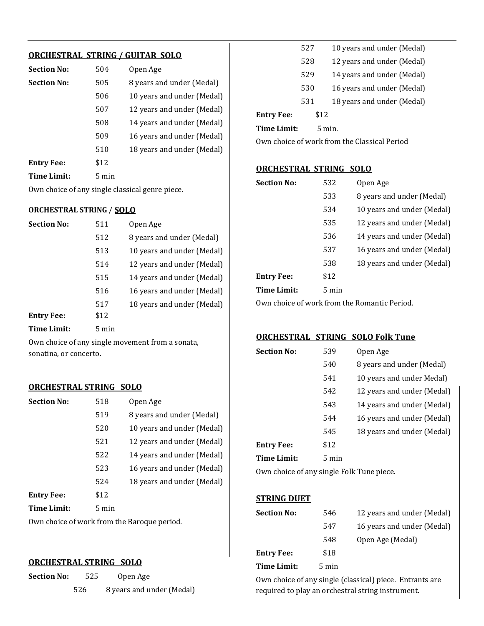#### **ORCHESTRAL STRING / GUITAR SOLO**

| <b>Section No:</b> | 504             | Open Age                   |
|--------------------|-----------------|----------------------------|
| <b>Section No:</b> | 505             | 8 years and under (Medal)  |
|                    | 506             | 10 years and under (Medal) |
|                    | 507             | 12 years and under (Medal) |
|                    | 508             | 14 years and under (Medal) |
|                    | 509             | 16 years and under (Medal) |
|                    | 510             | 18 years and under (Medal) |
| <b>Entry Fee:</b>  | \$12            |                            |
| <b>Time Limit:</b> | $5 \text{ min}$ |                            |

Own choice of any single classical genre piece.

#### **ORCHESTRAL STRING** / **SOLO**

| <b>Section No:</b> | 511             | Open Age                   |
|--------------------|-----------------|----------------------------|
|                    | 512             | 8 years and under (Medal)  |
|                    | 513             | 10 years and under (Medal) |
|                    | 514             | 12 years and under (Medal) |
|                    | 515             | 14 years and under (Medal) |
|                    | 516             | 16 years and under (Medal) |
|                    | 517             | 18 years and under (Medal) |
| <b>Entry Fee:</b>  | \$12            |                            |
| Time Limit:        | $5 \text{ min}$ |                            |

Own choice of any single movement from a sonata, sonatina, or concerto.

#### **ORCHESTRAL STRING SOLO**

| <b>Section No:</b> | 518             | Open Age                   |
|--------------------|-----------------|----------------------------|
|                    | 519             | 8 years and under (Medal)  |
|                    | 520             | 10 years and under (Medal) |
|                    | 521             | 12 years and under (Medal) |
|                    | 522             | 14 years and under (Medal) |
|                    | 523             | 16 years and under (Medal) |
|                    | 524             | 18 years and under (Medal) |
| <b>Entry Fee:</b>  | \$12            |                            |
| <b>Time Limit:</b> | $5 \text{ min}$ |                            |

Own choice of work from the Baroque period.

#### **ORCHESTRAL STRING SOLO**

| Section No: | 525 | Open Age                  |
|-------------|-----|---------------------------|
|             | 526 | 8 years and under (Medal) |

| 527 |     | 10 years and under (Medal) |
|-----|-----|----------------------------|
|     | 528 | 12 years and under (Medal) |
|     | 529 | 14 years and under (Medal) |
|     | 530 | 16 years and under (Medal) |
| 531 |     | 18 years and under (Medal) |
|     |     |                            |

**Entry Fee**: \$12

**Time Limit:** 5 min.

Own choice of work from the Classical Period

#### **ORCHESTRAL STRING SOLO**

| <b>Section No:</b> | 532             | Open Age                   |
|--------------------|-----------------|----------------------------|
|                    | 533             | 8 years and under (Medal)  |
|                    | 534             | 10 years and under (Medal) |
|                    | 535             | 12 years and under (Medal) |
|                    | 536             | 14 years and under (Medal) |
|                    | 537             | 16 years and under (Medal) |
|                    | 538             | 18 years and under (Medal) |
| <b>Entry Fee:</b>  | \$12            |                            |
| Time Limit:        | $5 \text{ min}$ |                            |

Own choice of work from the Romantic Period.

#### **ORCHESTRAL STRING SOLO Folk Tune**

| <b>Section No:</b> | 539   | Open Age                   |
|--------------------|-------|----------------------------|
|                    | 540   | 8 years and under (Medal)  |
|                    | 541   | 10 years and under Medal)  |
|                    | 542   | 12 years and under (Medal) |
|                    | 543   | 14 years and under (Medal) |
|                    | 544   | 16 years and under (Medal) |
|                    | 545   | 18 years and under (Medal) |
| <b>Entry Fee:</b>  | \$12  |                            |
| <b>Time Limit:</b> | 5 min |                            |

Own choice of any single Folk Tune piece.

#### **STRING DUET**

| <b>Section No:</b> | 546             | 12 years and under (Medal) |
|--------------------|-----------------|----------------------------|
|                    | 547             | 16 years and under (Medal) |
|                    | 548             | Open Age (Medal)           |
| <b>Entry Fee:</b>  | \$18            |                            |
| Time Limit:        | $5 \text{ min}$ |                            |

Own choice of any single (classical) piece. Entrants are required to play an orchestral string instrument.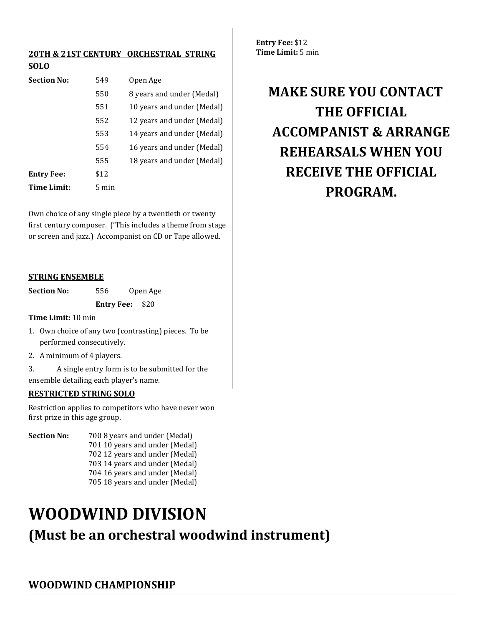#### **20TH & 21ST CENTURY ORCHESTRAL STRING SOLO**

| <b>Section No:</b> | 549             | Open Age                   |
|--------------------|-----------------|----------------------------|
|                    | 550             | 8 years and under (Medal)  |
|                    | 551             | 10 years and under (Medal) |
|                    | 552             | 12 years and under (Medal) |
|                    | 553             | 14 years and under (Medal) |
|                    | 554             | 16 years and under (Medal) |
|                    | 555             | 18 years and under (Medal) |
| <b>Entry Fee:</b>  | \$12            |                            |
| <b>Time Limit:</b> | $5 \text{ min}$ |                            |

Own choice of any single piece by a twentieth or twenty first century composer. ('This includes a theme from stage or screen and jazz.) Accompanist on CD or Tape allowed.

#### **STRING ENSEMBLE**

Section No: 556 Open Age **Entry Fee:** \$20

**Time Limit:** 10 min

- 1. Own choice of any two (contrasting) pieces. To be performed consecutively.
- 2. A minimum of 4 players.

3. A single entry form is to be submitted for the ensemble detailing each player's name.

#### **RESTRICTED STRING SOLO**

Restriction applies to competitors who have never won first prize in this age group.

**Section No:** 700 8 years and under (Medal) 701 10 years and under (Medal) 702 12 years and under (Medal) 703 14 years and under (Medal) 704 16 years and under (Medal) 705 18 years and under (Medal)

# **WOODWIND DIVISION**

# **(Must be an orchestral woodwind instrument)**

**Entry Fee:** \$12 **Time Limit:** 5 min

# **MAKE SURE YOU CONTACT THE OFFICIAL ACCOMPANIST & ARRANGE REHEARSALS WHEN YOU RECEIVE THE OFFICIAL PROGRAM.**

**WOODWIND CHAMPIONSHIP**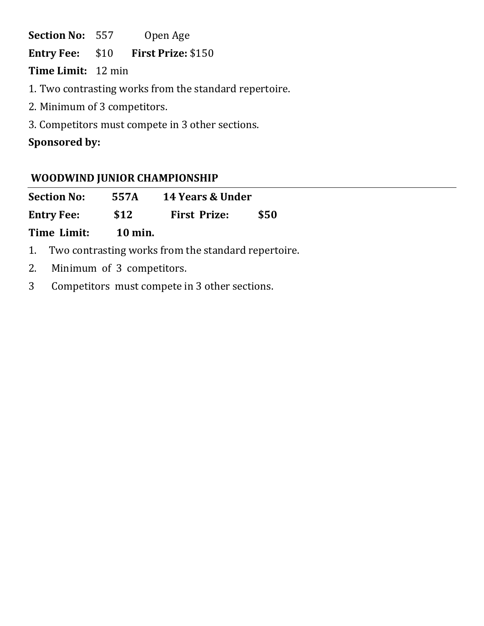Section No: 557 Open Age

**Entry Fee:** \$10 **First Prize:** \$150

**Time Limit:** 12 min

1. Two contrasting works from the standard repertoire.

2. Minimum of 3 competitors.

3. Competitors must compete in 3 other sections.

## **Sponsored by:**

## **WOODWIND JUNIOR CHAMPIONSHIP**

| <b>Section No:</b> | 557A           | <b>14 Years &amp; Under</b> |      |
|--------------------|----------------|-----------------------------|------|
| <b>Entry Fee:</b>  | \$12           | <b>First Prize:</b>         | \$50 |
| Time Limit:        | <b>10 min.</b> |                             |      |

- 1. Two contrasting works from the standard repertoire.
- 2. Minimum of 3 competitors.
- 3 Competitors must compete in 3 other sections.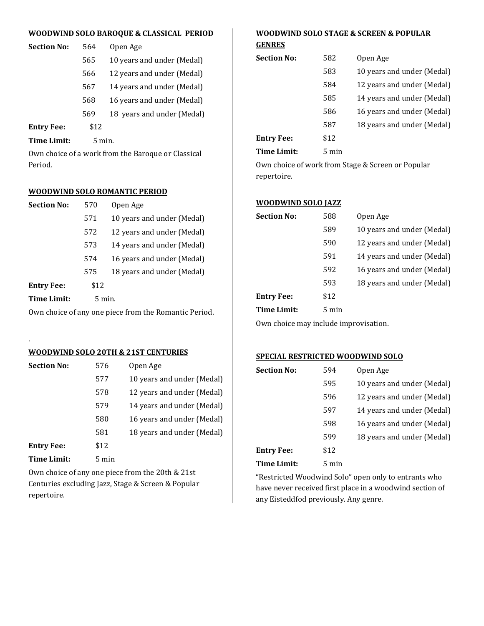#### **WOODWIND SOLO BAROQUE & CLASSICAL PERIOD**

| <b>Section No:</b> | 564             | Open Age                   |
|--------------------|-----------------|----------------------------|
|                    | 565             | 10 years and under (Medal) |
|                    | 566             | 12 years and under (Medal) |
|                    | 567             | 14 years and under (Medal) |
|                    | 568             | 16 years and under (Medal) |
|                    | 569             | 18 years and under (Medal) |
| <b>Entry Fee:</b>  | \$12            |                            |
| Time Limit:        | $5 \text{ min}$ |                            |

Own choice of a work from the Baroque or Classical Period.

#### **WOODWIND SOLO ROMANTIC PERIOD**

| <b>Section No:</b> | 570               | Open Age                   |
|--------------------|-------------------|----------------------------|
|                    | 571               | 10 years and under (Medal) |
|                    | 572               | 12 years and under (Medal) |
|                    | 573               | 14 years and under (Medal) |
|                    | 574               | 16 years and under (Medal) |
|                    | 575               | 18 years and under (Medal) |
| <b>Entry Fee:</b>  | \$12              |                            |
| Time Limit:        | $5 \text{ min}$ . |                            |
|                    |                   |                            |

Own choice of any one piece from the Romantic Period.

#### **WOODWIND SOLO 20TH & 21ST CENTURIES**

.

| <b>Section No:</b> | 576             | Open Age                   |
|--------------------|-----------------|----------------------------|
|                    | 577             | 10 years and under (Medal) |
|                    | 578             | 12 years and under (Medal) |
|                    | 579             | 14 years and under (Medal) |
|                    | 580             | 16 years and under (Medal) |
|                    | 581             | 18 years and under (Medal) |
| <b>Entry Fee:</b>  | \$12            |                            |
| <b>Time Limit:</b> | $5 \text{ min}$ |                            |

Own choice of any one piece from the 20th & 21st Centuries excluding Jazz, Stage & Screen & Popular repertoire.

## **WOODWIND SOLO STAGE & SCREEN & POPULAR**

| Section No: | 582   | Open Age                   |
|-------------|-------|----------------------------|
|             | 583   | 10 years and under (Medal) |
|             | 584   | 12 years and under (Medal) |
|             | 585   | 14 years and under (Medal) |
|             | 586   | 16 years and under (Medal) |
|             | 587   | 18 years and under (Medal) |
| Entrv Fee:  | \$12  |                            |
| Time Limit: | 5 min |                            |

Own choice of work from Stage & Screen or Popular repertoire.

#### **WOODWIND SOLO JAZZ**

| Section No:        | 588   | Open Age                   |
|--------------------|-------|----------------------------|
|                    | 589   | 10 years and under (Medal) |
|                    | 590   | 12 years and under (Medal) |
|                    | 591   | 14 years and under (Medal) |
|                    | 592   | 16 years and under (Medal) |
|                    | 593   | 18 years and under (Medal) |
| Entry Fee:         | \$12  |                            |
| <b>Time Limit:</b> | 5 min |                            |

Own choice may include improvisation.

#### **SPECIAL RESTRICTED WOODWIND SOLO**

| <b>Section No:</b> | 594   | Open Age                   |
|--------------------|-------|----------------------------|
|                    | 595   | 10 years and under (Medal) |
|                    | 596   | 12 years and under (Medal) |
|                    | 597   | 14 years and under (Medal) |
|                    | 598   | 16 years and under (Medal) |
|                    | 599   | 18 years and under (Medal) |
| <b>Entry Fee:</b>  | \$12  |                            |
| Time Limit:        | 5 min |                            |

"Restricted Woodwind Solo" open only to entrants who have never received first place in a woodwind section of any Eisteddfod previously. Any genre.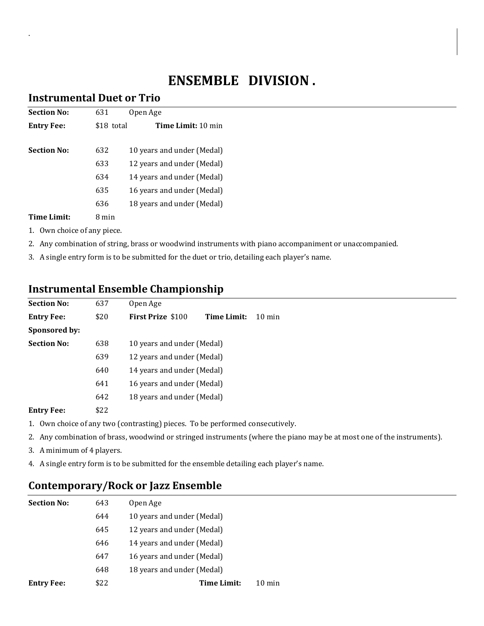# **ENSEMBLE DIVISION .**

#### **Instrumental Duet or Trio**

.

| <b>Section No:</b> | 631        | Open Age                   |
|--------------------|------------|----------------------------|
| <b>Entry Fee:</b>  | \$18 total | <b>Time Limit:</b> 10 min  |
| <b>Section No:</b> | 632        | 10 years and under (Medal) |
|                    | 633        | 12 years and under (Medal) |
|                    | 634        | 14 years and under (Medal) |
|                    | 635        | 16 years and under (Medal) |
|                    | 636        | 18 years and under (Medal) |
| Time Limit:        | 8 min      |                            |

- 1. Own choice of any piece.
- 2. Any combination of string, brass or woodwind instruments with piano accompaniment or unaccompanied.
- 3. A single entry form is to be submitted for the duet or trio, detailing each player's name.

## **Instrumental Ensemble Championship**

| <b>Section No:</b> | 637  | Open Age                   |             |                  |
|--------------------|------|----------------------------|-------------|------------------|
| <b>Entry Fee:</b>  | \$20 | <b>First Prize \$100</b>   | Time Limit: | $10 \text{ min}$ |
| Sponsored by:      |      |                            |             |                  |
| <b>Section No:</b> | 638  | 10 years and under (Medal) |             |                  |
|                    | 639  | 12 years and under (Medal) |             |                  |
|                    | 640  | 14 years and under (Medal) |             |                  |
|                    | 641  | 16 years and under (Medal) |             |                  |
|                    | 642  | 18 years and under (Medal) |             |                  |
| <b>Entry Fee:</b>  | \$22 |                            |             |                  |

- 1. Own choice of any two (contrasting) pieces. To be performed consecutively.
- 2. Any combination of brass, woodwind or stringed instruments (where the piano may be at most one of the instruments).
- 3. A minimum of 4 players.
- 4. A single entry form is to be submitted for the ensemble detailing each player's name.

## **Contemporary/Rock or Jazz Ensemble**

| <b>Section No:</b> | 643  | Open Age                   |                  |
|--------------------|------|----------------------------|------------------|
|                    | 644  | 10 years and under (Medal) |                  |
|                    | 645  | 12 years and under (Medal) |                  |
|                    | 646  | 14 years and under (Medal) |                  |
|                    | 647  | 16 years and under (Medal) |                  |
|                    | 648  | 18 years and under (Medal) |                  |
| <b>Entry Fee:</b>  | \$22 | Time Limit:                | $10 \text{ min}$ |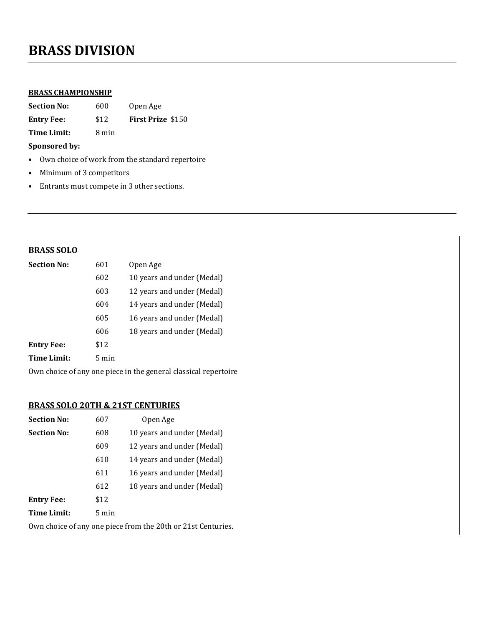# **BRASS DIVISION**

#### **BRASS CHAMPIONSHIP**

| <b>Section No:</b> | 600   | Open Age                 |  |
|--------------------|-------|--------------------------|--|
| <b>Entry Fee:</b>  | \$12  | <b>First Prize \$150</b> |  |
| Time Limit:        | 8 min |                          |  |

**Sponsored by:** 

- Own choice of work from the standard repertoire
- Minimum of 3 competitors
- Entrants must compete in 3 other sections.

#### **BRASS SOLO**

| <b>Section No:</b> | 601             | Open Age                   |
|--------------------|-----------------|----------------------------|
|                    | 602             | 10 years and under (Medal) |
|                    | 603             | 12 years and under (Medal) |
|                    | 604             | 14 years and under (Medal) |
|                    | 605             | 16 years and under (Medal) |
|                    | 606             | 18 years and under (Medal) |
| <b>Entry Fee:</b>  | \$12            |                            |
| <b>Time Limit:</b> | $5 \text{ min}$ |                            |

Own choice of any one piece in the general classical repertoire

#### **BRASS SOLO 20TH & 21ST CENTURIES**

| <b>Section No:</b> | 607   | Open Age                   |
|--------------------|-------|----------------------------|
| <b>Section No:</b> | 608   | 10 years and under (Medal) |
|                    | 609   | 12 years and under (Medal) |
|                    | 610   | 14 years and under (Medal) |
|                    | 611   | 16 years and under (Medal) |
|                    | 612   | 18 years and under (Medal) |
| <b>Entry Fee:</b>  | \$12  |                            |
| Time Limit:        | 5 min |                            |

Own choice of any one piece from the 20th or 21st Centuries.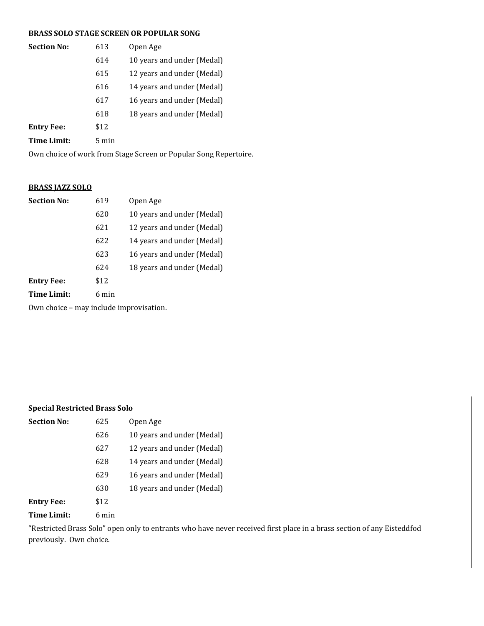#### **BRASS SOLO STAGE SCREEN OR POPULAR SONG**

| <b>Section No:</b> | 613             | Open Age                   |
|--------------------|-----------------|----------------------------|
|                    | 614             | 10 years and under (Medal) |
|                    | 615             | 12 years and under (Medal) |
|                    | 616             | 14 years and under (Medal) |
|                    | 617             | 16 years and under (Medal) |
|                    | 618             | 18 years and under (Medal) |
| <b>Entry Fee:</b>  | \$12            |                            |
| Time Limit:        | $5 \text{ min}$ |                            |

Own choice of work from Stage Screen or Popular Song Repertoire.

#### **BRASS JAZZ SOLO**

| <b>Section No:</b> | 619   | Open Age                   |
|--------------------|-------|----------------------------|
|                    | 620   | 10 years and under (Medal) |
|                    | 621   | 12 years and under (Medal) |
|                    | 622   | 14 years and under (Medal) |
|                    | 623   | 16 years and under (Medal) |
|                    | 624   | 18 years and under (Medal) |
| <b>Entry Fee:</b>  | \$12  |                            |
| Time Limit:        | 6 min |                            |

Own choice – may include improvisation.

#### **Special Restricted Brass Solo**

| <b>Section No:</b> | 625   | Open Age                   |
|--------------------|-------|----------------------------|
|                    | 626   | 10 years and under (Medal) |
|                    | 627   | 12 years and under (Medal) |
|                    | 628   | 14 years and under (Medal) |
|                    | 629   | 16 years and under (Medal) |
|                    | 630   | 18 years and under (Medal) |
| <b>Entry Fee:</b>  | \$12  |                            |
| Time Limit:        | 6 min |                            |

"Restricted Brass Solo" open only to entrants who have never received first place in a brass section of any Eisteddfod previously. Own choice.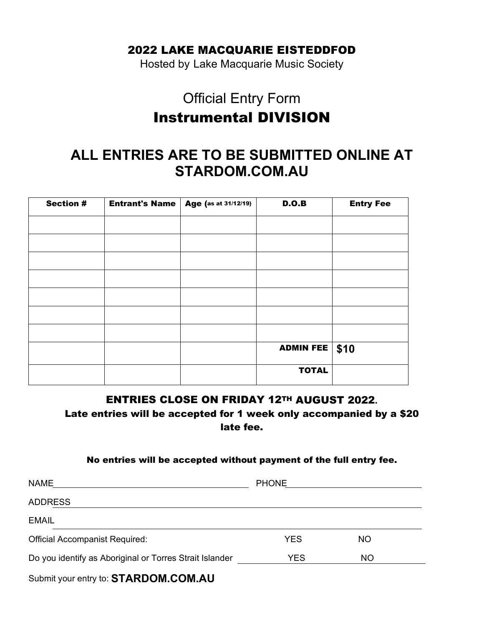## 2022 LAKE MACQUARIE EISTEDDFOD

Hosted by Lake Macquarie Music Society

# Official Entry Form Instrumental DIVISION

# **ALL ENTRIES ARE TO BE SUBMITTED ONLINE AT STARDOM.COM.AU**

| <b>Section #</b> | <b>Entrant's Name   Age (as at 31/12/19)</b> | D.O.B            | <b>Entry Fee</b> |
|------------------|----------------------------------------------|------------------|------------------|
|                  |                                              |                  |                  |
|                  |                                              |                  |                  |
|                  |                                              |                  |                  |
|                  |                                              |                  |                  |
|                  |                                              |                  |                  |
|                  |                                              |                  |                  |
|                  |                                              |                  |                  |
|                  |                                              | <b>ADMIN FEE</b> | \$10             |
|                  |                                              | <b>TOTAL</b>     |                  |

### ENTRIES CLOSE ON FRIDAY 12TH AUGUST 2022**.**

Late entries will be accepted for 1 week only accompanied by a \$20 late fee.

#### No entries will be accepted without payment of the full entry fee.

| <b>NAME</b>                                             | <b>PHONE</b> |           |  |
|---------------------------------------------------------|--------------|-----------|--|
| <b>ADDRESS</b>                                          |              |           |  |
| <b>EMAIL</b>                                            |              |           |  |
| <b>Official Accompanist Required:</b>                   | <b>YES</b>   | <b>NO</b> |  |
| Do you identify as Aboriginal or Torres Strait Islander | <b>YES</b>   | <b>NO</b> |  |
| .                                                       |              |           |  |

Submit your entry to: **STARDOM.COM.AU**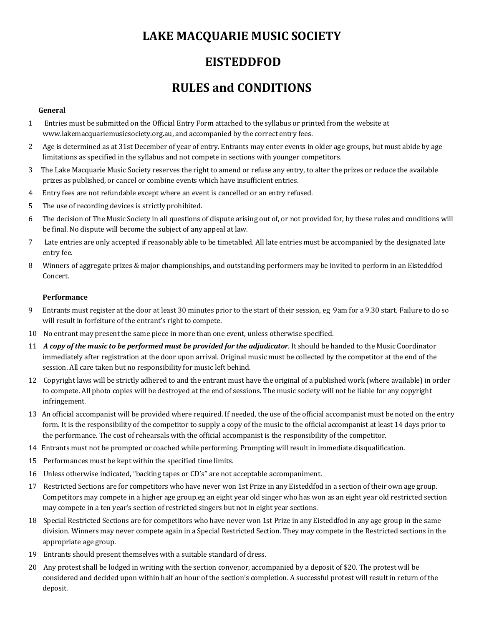# **LAKE MACQUARIE MUSIC SOCIETY**

## **EISTEDDFOD**

# **RULES and CONDITIONS**

#### **General**

- 1 Entries must be submitted on the Official Entry Form attached to the syllabus or printed from the website at www.lakemacquariemusicsociety.org.au, and accompanied by the correct entry fees.
- 2 Age is determined as at 31st December of year of entry. Entrants may enter events in older age groups, but must abide by age limitations as specified in the syllabus and not compete in sections with younger competitors.
- 3 The Lake Macquarie Music Society reserves the right to amend or refuse any entry, to alter the prizes or reduce the available prizes as published, or cancel or combine events which have insufficient entries.
- 4 Entry fees are not refundable except where an event is cancelled or an entry refused.
- 5 The use of recording devices is strictly prohibited.
- 6 The decision of The Music Society in all questions of dispute arising out of, or not provided for, by these rules and conditions will be final. No dispute will become the subject of any appeal at law.
- 7 Late entries are only accepted if reasonably able to be timetabled. All late entries must be accompanied by the designated late entry fee.
- 8 Winners of aggregate prizes & major championships, and outstanding performers may be invited to perform in an Eisteddfod Concert.

#### **Performance**

- 9 Entrants must register at the door at least 30 minutes prior to the start of their session, eg 9am for a 9.30 start. Failure to do so will result in forfeiture of the entrant's right to compete.
- 10 No entrant may present the same piece in more than one event, unless otherwise specified.
- 11 *A copy of the music to be performed must be provided for the adjudicator*. It should be handed to the Music Coordinator immediately after registration at the door upon arrival. Original music must be collected by the competitor at the end of the session. All care taken but no responsibility for music left behind.
- 12 Copyright laws will be strictly adhered to and the entrant must have the original of a published work (where available) in order to compete. All photo copies will be destroyed at the end of sessions. The music society will not be liable for any copyright infringement.
- 13 An official accompanist will be provided where required. If needed, the use of the official accompanist must be noted on the entry form. It is the responsibility of the competitor to supply a copy of the music to the official accompanist at least 14 days prior to the performance. The cost of rehearsals with the official accompanist is the responsibility of the competitor.
- 14 Entrants must not be prompted or coached while performing. Prompting will result in immediate disqualification.
- 15 Performances must be kept within the specified time limits.
- 16 Unless otherwise indicated, "backing tapes or CD's" are not acceptable accompaniment.
- 17 Restricted Sections are for competitors who have never won 1st Prize in any Eisteddfod in a section of their own age group. Competitors may compete in a higher age group.eg an eight year old singer who has won as an eight year old restricted section may compete in a ten year's section of restricted singers but not in eight year sections.
- 18 Special Restricted Sections are for competitors who have never won 1st Prize in any Eisteddfod in any age group in the same division. Winners may never compete again in a Special Restricted Section. They may compete in the Restricted sections in the appropriate age group.
- 19 Entrants should present themselves with a suitable standard of dress.
- 20 Any protest shall be lodged in writing with the section convenor, accompanied by a deposit of \$20. The protest will be considered and decided upon within half an hour of the section's completion. A successful protest will result in return of the deposit.